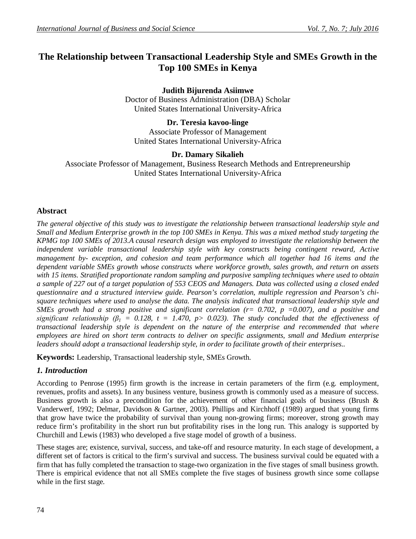# **The Relationship between Transactional Leadership Style and SMEs Growth in the Top 100 SMEs in Kenya**

**Judith Bijurenda Asiimwe** Doctor of Business Administration (DBA) Scholar United States International University-Africa

**Dr. Teresia kavoo-linge** Associate Professor of Management United States International University-Africa

## **Dr. Damary Sikalieh**

Associate Professor of Management, Business Research Methods and Entrepreneurship United States International University-Africa

# **Abstract**

*The general objective of this study was to investigate the relationship between transactional leadership style and Small and Medium Enterprise growth in the top 100 SMEs in Kenya. This was a mixed method study targeting the KPMG top 100 SMEs of 2013.A causal research design was employed to investigate the relationship between the independent variable transactional leadership style with key constructs being contingent reward, Active management by- exception, and cohesion and team performance which all together had 16 items and the dependent variable SMEs growth whose constructs where workforce growth, sales growth, and return on assets with 15 items. Stratified proportionate random sampling and purposive sampling techniques where used to obtain a sample of 227 out of a target population of 553 CEOS and Managers. Data was collected using a closed ended questionnaire and a structured interview guide. Pearson's correlation, multiple regression and Pearson's chisquare techniques where used to analyse the data. The analysis indicated that transactional leadership style and SMEs growth had a strong positive and significant correlation (r= 0.702, p =0.007), and a positive and significant relationship* ( $\beta_1 = 0.128$ ,  $t = 1.470$ ,  $p > 0.023$ ). The study concluded that the effectiveness of *transactional leadership style is dependent on the nature of the enterprise and recommended that where employees are hired on short term contracts to deliver on specific assignments, small and Medium enterprise leaders should adopt a transactional leadership style, in order to facilitate growth of their enterprises..*

**Keywords:** Leadership, Transactional leadership style, SMEs Growth.

# *1. Introduction*

According to Penrose (1995) firm growth is the increase in certain parameters of the firm (e.g. employment, revenues, profits and assets). In any business venture, business growth is commonly used as a measure of success. Business growth is also a precondition for the achievement of other financial goals of business (Brush  $\&$ Vanderwerf, 1992; Delmar, Davidson & Gartner, 2003). Phillips and Kirchhoff (1989) argued that young firms that grow have twice the probability of survival than young non-growing firms; moreover, strong growth may reduce firm's profitability in the short run but profitability rises in the long run. This analogy is supported by Churchill and Lewis (1983) who developed a five stage model of growth of a business.

These stages are; existence, survival, success, and take-off and resource maturity. In each stage of development, a different set of factors is critical to the firm's survival and success. The business survival could be equated with a firm that has fully completed the transaction to stage-two organization in the five stages of small business growth. There is empirical evidence that not all SMEs complete the five stages of business growth since some collapse while in the first stage.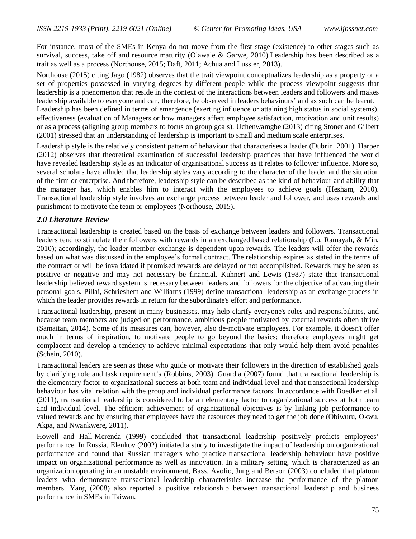For instance, most of the SMEs in Kenya do not move from the first stage (existence) to other stages such as survival, success, take off and resource maturity (Olawale & Garwe, 2010).Leadership has been described as a trait as well as a process (Northouse, 2015; Daft, 2011; Achua and Lussier, 2013).

Northouse (2015) citing Jago (1982) observes that the trait viewpoint conceptualizes leadership as a property or a set of properties possessed in varying degrees by different people while the process viewpoint suggests that leadership is a phenomenon that reside in the context of the interactions between leaders and followers and makes leadership available to everyone and can, therefore, be observed in leaders behaviours' and as such can be learnt.

Leadership has been defined in terms of emergence (exerting influence or attaining high status in social systems), effectiveness (evaluation of Managers or how managers affect employee satisfaction, motivation and unit results) or as a process (aligning group members to focus on group goals). Uchenwamgbe (2013) citing Stoner and Gilbert (2001) stressed that an understanding of leadership is important to small and medium scale enterprises.

Leadership style is the relatively consistent pattern of behaviour that characterises a leader (Dubrin, 2001). Harper (2012) observes that theoretical examination of successful leadership practices that have influenced the world have revealed leadership style as an indicator of organisational success as it relates to follower influence. More so, several scholars have alluded that leadership styles vary according to the character of the leader and the situation of the firm or enterprise. And therefore, leadership style can be described as the kind of behaviour and ability that the manager has, which enables him to interact with the employees to achieve goals (Hesham, 2010). Transactional leadership style involves an exchange process between leader and follower, and uses rewards and punishment to motivate the team or employees (Northouse, 2015).

## *2.0 Literature Review*

Transactional leadership is created based on the basis of exchange between leaders and followers. Transactional leaders tend to stimulate their followers with rewards in an exchanged based relationship (Lo, Ramayah, & Min, 2010); accordingly, the leader-member exchange is dependent upon rewards. The leaders will offer the rewards based on what was discussed in the employee's formal contract. The relationship expires as stated in the terms of the contract or will be invalidated if promised rewards are delayed or not accomplished. Rewards may be seen as positive or negative and may not necessary be financial. Kuhnert and Lewis (1987) state that transactional leadership believed reward system is necessary between leaders and followers for the objective of advancing their personal goals. Pillai, Schrieshem and Williams (1999) define transactional leadership as an exchange process in which the leader provides rewards in return for the subordinate's effort and performance.

Transactional leadership, present in many businesses, may help clarify everyone's roles and responsibilities, and because team members are judged on performance, ambitious people motivated by external rewards often thrive (Samaitan, 2014). Some of its measures can, however, also de-motivate employees. For example, it doesn't offer much in terms of inspiration, to motivate people to go beyond the basics; therefore employees might get complacent and develop a tendency to achieve minimal expectations that only would help them avoid penalties (Schein, 2010).

Transactional leaders are seen as those who guide or motivate their followers in the direction of established goals by clarifying role and task requirement's (Robbins, 2003). Guardia (2007) found that transactional leadership is the elementary factor to organizational success at both team and individual level and that transactional leadership behaviour has vital relation with the group and individual performance factors. In accordance with Boedker et al. (2011), transactional leadership is considered to be an elementary factor to organizational success at both team and individual level. The efficient achievement of organizational objectives is by linking job performance to valued rewards and by ensuring that employees have the resources they need to get the job done (Obiwuru, Okwu, Akpa, and Nwankwere, 2011).

Howell and Hall-Merenda (1999) concluded that transactional leadership positively predicts employees' performance. In Russia, Elenkov (2002) initiated a study to investigate the impact of leadership on organizational performance and found that Russian managers who practice transactional leadership behaviour have positive impact on organizational performance as well as innovation. In a military setting, which is characterized as an organization operating in an unstable environment, Bass, Avolio, Jung and Berson (2003) concluded that platoon leaders who demonstrate transactional leadership characteristics increase the performance of the platoon members. Yang (2008) also reported a positive relationship between transactional leadership and business performance in SMEs in Taiwan.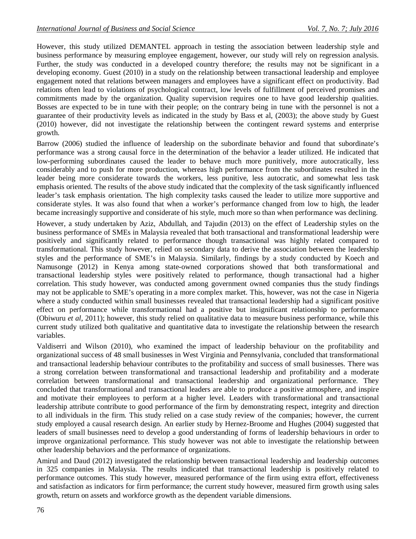However, this study utilized DEMANTEL approach in testing the association between leadership style and business performance by measuring employee engagement, however, our study will rely on regression analysis. Further, the study was conducted in a developed country therefore; the results may not be significant in a developing economy. Guest (2010) in a study on the relationship between transactional leadership and employee engagement noted that relations between managers and employees have a significant effect on productivity. Bad relations often lead to violations of psychological contract, low levels of fulfillment of perceived promises and commitments made by the organization. Quality supervision requires one to have good leadership qualities. Bosses are expected to be in tune with their people; on the contrary being in tune with the personnel is not a guarantee of their productivity levels as indicated in the study by Bass et al, (2003); the above study by Guest (2010) however, did not investigate the relationship between the contingent reward systems and enterprise growth.

Barrow (2006) studied the influence of leadership on the subordinate behavior and found that subordinate's performance was a strong causal force in the determination of the behavior a leader utilized. He indicated that low-performing subordinates caused the leader to behave much more punitively, more autocratically, less considerably and to push for more production, whereas high performance from the subordinates resulted in the leader being more considerate towards the workers, less punitive, less autocratic, and somewhat less task emphasis oriented. The results of the above study indicated that the complexity of the task significantly influenced leader's task emphasis orientation. The high complexity tasks caused the leader to utilize more supportive and considerate styles. It was also found that when a worker's performance changed from low to high, the leader became increasingly supportive and considerate of his style, much more so than when performance was declining.

However, a study undertaken by Aziz, Abdullah, and Tajudin (2013) on the effect of Leadership styles on the business performance of SMEs in Malaysia revealed that both transactional and transformational leadership were positively and significantly related to performance though transactional was highly related compared to transformational. This study however, relied on secondary data to derive the association between the leadership styles and the performance of SME's in Malaysia. Similarly, findings by a study conducted by Koech and Namusonge (2012) in Kenya among state-owned corporations showed that both transformational and transactional leadership styles were positively related to performance, though transactional had a higher correlation. This study however, was conducted among government owned companies thus the study findings may not be applicable to SME's operating in a more complex market. This, however, was not the case in Nigeria where a study conducted within small businesses revealed that transactional leadership had a significant positive effect on performance while transformational had a positive but insignificant relationship to performance (Obiwuru *et al,* 2011); however, this study relied on qualitative data to measure business performance, while this current study utilized both qualitative and quantitative data to investigate the relationship between the research variables.

Valdiserri and Wilson (2010), who examined the impact of leadership behaviour on the profitability and organizational success of 48 small businesses in West Virginia and Pennsylvania, concluded that transformational and transactional leadership behaviour contributes to the profitability and success of small businesses. There was a strong correlation between transformational and transactional leadership and profitability and a moderate correlation between transformational and transactional leadership and organizational performance. They concluded that transformational and transactional leaders are able to produce a positive atmosphere, and inspire and motivate their employees to perform at a higher level. Leaders with transformational and transactional leadership attribute contribute to good performance of the firm by demonstrating respect, integrity and direction to all individuals in the firm. This study relied on a case study review of the companies; however, the current study employed a causal research design. An earlier study by Hernez-Broome and Hughes (2004) suggested that leaders of small businesses need to develop a good understanding of forms of leadership behaviours in order to improve organizational performance. This study however was not able to investigate the relationship between other leadership behaviors and the performance of organizations.

Amirul and Daud (2012) investigated the relationship between transactional leadership and leadership outcomes in 325 companies in Malaysia. The results indicated that transactional leadership is positively related to performance outcomes. This study however, measured performance of the firm using extra effort, effectiveness and satisfaction as indicators for firm performance; the current study however, measured firm growth using sales growth, return on assets and workforce growth as the dependent variable dimensions.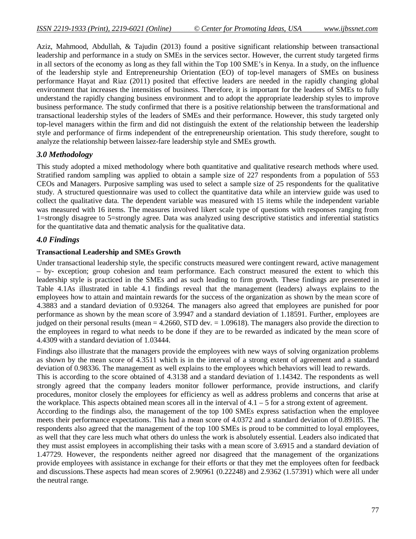Aziz, Mahmood, Abdullah, & Tajudin (2013) found a positive significant relationship between transactional leadership and performance in a study on SMEs in the services sector. However, the current study targeted firms in all sectors of the economy as long as they fall within the Top 100 SME's in Kenya. In a study, on the influence of the leadership style and Entrepreneurship Orientation (EO) of top-level managers of SMEs on business performance Hayat and Riaz (2011) posited that effective leaders are needed in the rapidly changing global environment that increases the intensities of business. Therefore, it is important for the leaders of SMEs to fully understand the rapidly changing business environment and to adopt the appropriate leadership styles to improve business performance. The study confirmed that there is a positive relationship between the transformational and transactional leadership styles of the leaders of SMEs and their performance. However, this study targeted only top-level managers within the firm and did not distinguish the extent of the relationship between the leadership style and performance of firms independent of the entrepreneurship orientation. This study therefore, sought to analyze the relationship between laissez-fare leadership style and SMEs growth.

## *3.0 Methodology*

This study adopted a mixed methodology where both quantitative and qualitative research methods where used. Stratified random sampling was applied to obtain a sample size of 227 respondents from a population of 553 CEOs and Managers. Purposive sampling was used to select a sample size of 25 respondents for the qualitative study. A structured questionnaire was used to collect the quantitative data while an interview guide was used to collect the qualitative data. The dependent variable was measured with 15 items while the independent variable was measured with 16 items. The measures involved likert scale type of questions with responses ranging from 1=strongly disagree to 5=strongly agree. Data was analyzed using descriptive statistics and inferential statistics for the quantitative data and thematic analysis for the qualitative data.

## *4.0 Findings*

#### **Transactional Leadership and SMEs Growth**

Under transactional leadership style, the specific constructs measured were contingent reward, active management – by- exception; group cohesion and team performance. Each construct measured the extent to which this leadership style is practiced in the SMEs and as such leading to firm growth. These findings are presented in Table 4.1As illustrated in table 4.1 findings reveal that the management (leaders) always explains to the employees how to attain and maintain rewards for the success of the organization as shown by the mean score of 4.3883 and a standard deviation of 0.93264. The managers also agreed that employees are punished for poor performance as shown by the mean score of 3.9947 and a standard deviation of 1.18591. Further, employees are judged on their personal results (mean = 4.2660, STD dev. = 1.09618). The managers also provide the direction to the employees in regard to what needs to be done if they are to be rewarded as indicated by the mean score of 4.4309 with a standard deviation of 1.03444.

Findings also illustrate that the managers provide the employees with new ways of solving organization problems as shown by the mean score of 4.3511 which is in the interval of a strong extent of agreement and a standard deviation of 0.98336. The management as well explains to the employees which behaviors will lead to rewards. This is according to the score obtained of 4.3138 and a standard deviation of 1.14342. The respondents as well strongly agreed that the company leaders monitor follower performance, provide instructions, and clarify procedures, monitor closely the employees for efficiency as well as address problems and concerns that arise at the workplace. This aspects obtained mean scores all in the interval of  $4.1 - 5$  for a strong extent of agreement. According to the findings also, the management of the top 100 SMEs express satisfaction when the employee meets their performance expectations. This had a mean score of 4.0372 and a standard deviation of 0.89185. The respondents also agreed that the management of the top 100 SMEs is proud to be committed to loyal employees, as well that they care less much what others do unless the work is absolutely essential. Leaders also indicated that they must assist employees in accomplishing their tasks with a mean score of 3.6915 and a standard deviation of 1.47729. However, the respondents neither agreed nor disagreed that the management of the organizations provide employees with assistance in exchange for their efforts or that they met the employees often for feedback and discussions.These aspects had mean scores of 2.90961 (0.22248) and 2.9362 (1.57391) which were all under the neutral range.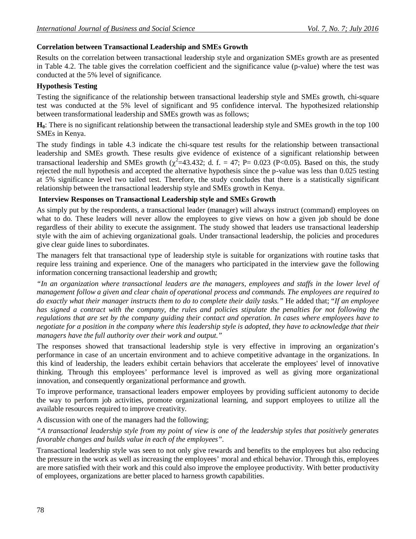# **Correlation between Transactional Leadership and SMEs Growth**

Results on the correlation between transactional leadership style and organization SMEs growth are as presented in Table 4.2. The table gives the correlation coefficient and the significance value (p-value) where the test was conducted at the 5% level of significance.

## **Hypothesis Testing**

Testing the significance of the relationship between transactional leadership style and SMEs growth, chi-square test was conducted at the 5% level of significant and 95 confidence interval. The hypothesized relationship between transformational leadership and SMEs growth was as follows;

**H0**: There is no significant relationship between the transactional leadership style and SMEs growth in the top 100 SMEs in Kenya.

The study findings in table 4.3 indicate the chi-square test results for the relationship between transactional leadership and SMEs growth. These results give evidence of existence of a significant relationship between transactional leadership and SMEs growth ( $\chi^2$ =43.432; d. f. = 47; P= 0.023 (P<0.05). Based on this, the study rejected the null hypothesis and accepted the alternative hypothesis since the p-value was less than 0.025 testing at 5% significance level two tailed test. Therefore, the study concludes that there is a statistically significant relationship between the transactional leadership style and SMEs growth in Kenya.

#### **Interview Responses on Transactional Leadership style and SMEs Growth**

As simply put by the respondents, a transactional leader (manager) will always instruct (command) employees on what to do. These leaders will never allow the employees to give views on how a given job should be done regardless of their ability to execute the assignment. The study showed that leaders use transactional leadership style with the aim of achieving organizational goals. Under transactional leadership, the policies and procedures give clear guide lines to subordinates.

The managers felt that transactional type of leadership style is suitable for organizations with routine tasks that require less training and experience. One of the managers who participated in the interview gave the following information concerning transactional leadership and growth;

*"In an organization where transactional leaders are the managers, employees and staffs in the lower level of management follow a given and clear chain of operational process and commands. The employees are required to do exactly what their manager instructs them to do to complete their daily tasks."* He added that; "*If an employee has signed a contract with the company, the rules and policies stipulate the penalties for not following the regulations that are set by the company guiding their contact and operation. In cases where employees have to negotiate for a position in the company where this leadership style is adopted, they have to acknowledge that their managers have the full authority over their work and output."*

The responses showed that transactional leadership style is very effective in improving an organization's performance in case of an uncertain environment and to achieve competitive advantage in the organizations. In this kind of leadership, the leaders exhibit certain behaviors that accelerate the employees' level of innovative thinking. Through this employees' performance level is improved as well as giving more organizational innovation, and consequently organizational performance and growth.

To improve performance, transactional leaders empower employees by providing sufficient autonomy to decide the way to perform job activities, promote organizational learning, and support employees to utilize all the available resources required to improve creativity.

A discussion with one of the managers had the following;

*"A transactional leadership style from my point of view is one of the leadership styles that positively generates favorable changes and builds value in each of the employees".*

Transactional leadership style was seen to not only give rewards and benefits to the employees but also reducing the pressure in the work as well as increasing the employees' moral and ethical behavior. Through this, employees are more satisfied with their work and this could also improve the employee productivity. With better productivity of employees, organizations are better placed to harness growth capabilities.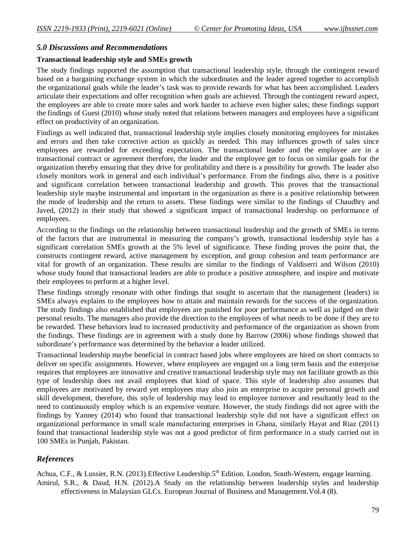#### *5.0 Discussions and Recommendations*

#### **Transactional leadership style and SMEs growth**

The study findings supported the assumption that transactional leadership style, through the contingent reward based on a bargaining exchange system in which the subordinates and the leader agreed together to accomplish the organizational goals while the leader's task was to provide rewards for what has been accomplished. Leaders articulate their expectations and offer recognition when goals are achieved. Through the contingent reward aspect, the employees are able to create more sales and work harder to achieve even higher sales; these findings support the findings of Guest (2010) whose study noted that relations between managers and employees have a significant effect on productivity of an organization.

Findings as well indicated that, transactional leadership style implies closely monitoring employees for mistakes and errors and then take corrective action as quickly as needed. This may influences growth of sales since employees are rewarded for exceeding expectation. The transactional leader and the employee are in a transactional contract or agreement therefore, the leader and the employee get to focus on similar goals for the organization thereby ensuring that they drive for profitability and there is a possibility for growth. The leader also closely monitors work in general and each individual's performance. From the findings also, there is a positive and significant correlation between transactional leadership and growth. This proves that the transactional leadership style maybe instrumental and important in the organization as there is a positive relationship between the mode of leadership and the return to assets. These findings were similar to the findings of Chaudhry and Javed, (2012) in their study that showed a significant impact of transactional leadership on performance of employees.

According to the findings on the relationship between transactional leadership and the growth of SMEs in terms of the factors that are instrumental in measuring the company's growth, transactional leadership style has a significant correlation SMEs growth at the 5% level of significance. These finding proves the point that, the constructs contingent reward, active management by exception, and group cohesion and team performance are vital for growth of an organization. These results are similar to the findings of Valdiserri and Wilson (2010) whose study found that transactional leaders are able to produce a positive atmosphere, and inspire and motivate their employees to perform at a higher level.

These findings strongly resonate with other findings that sought to ascertain that the management (leaders) in SMEs always explains to the employees how to attain and maintain rewards for the success of the organization. The study findings also established that employees are punished for poor performance as well as judged on their personal results. The managers also provide the direction to the employees of what needs to be done if they are to be rewarded. These behaviors lead to increased productivity and performance of the organization as shown from the findings. These findings are in agreement with a study done by Barrow (2006) whose findings showed that subordinate's performance was determined by the behavior a leader utilized.

Transactional leadership maybe beneficial in contract based jobs where employees are hired on short contracts to deliver on specific assignments. However, where employees are engaged on a long term basis and the enterprise requires that employees are innovative and creative transactional leadership style may not facilitate growth as this type of leadership does not avail employees that kind of space. This style of leadership also assumes that employees are motivated by reward yet employees may also join an enterprise to acquire personal growth and skill development, therefore, this style of leadership may lead to employee turnover and resultantly lead to the need to continuously employ which is an expensive venture. However, the study findings did not agree with the findings by Yanney (2014) who found that transactional leadership style did not have a significant effect on organizational performance in small scale manufacturing enterprises in Ghana, similarly Hayat and Riaz (2011) found that transactional leadership style was not a good predictor of firm performance in a study carried out in 100 SMEs in Punjab, Pakistan.

## *References*

Achua, C.F., & Lussier, R.N. (2013). Effective Leadership. 5<sup>th</sup> Edition. London, South-Western, engage learning. Amirul, S.R., & Daud, H.N. (2012).A Study on the relationship between leadership styles and leadership effectiveness in Malaysian GLCs. European Journal of Business and Management.Vol.4 (8).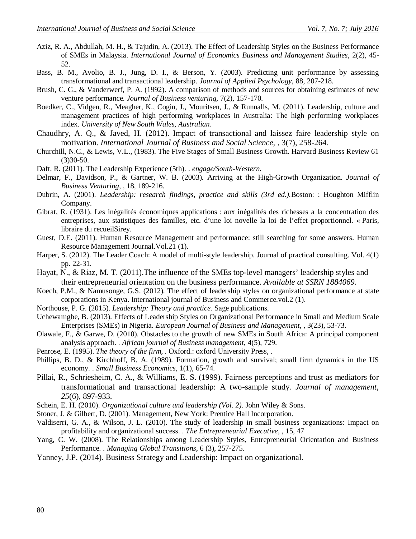- Aziz, R. A., Abdullah, M. H., & Tajudin, A. (2013). The Effect of Leadership Styles on the Business Performance of SMEs in Malaysia. *International Journal of Economics Business and Management Studies*, 2(2), 45- 52.
- Bass, B. M., Avolio, B. J., Jung, D. I., & Berson, Y. (2003). Predicting unit performance by assessing transformational and transactional leadership. *Journal of Applied Psychology,* 88, 207-218.
- Brush, C. G., & Vanderwerf, P. A. (1992). A comparison of methods and sources for obtaining estimates of new venture performance. *Journal of Business venturing,* 7(2), 157-170.
- Boedker, C., Vidgen, R., Meagher, K., Cogin, J., Mouritsen, J., & Runnalls, M. (2011). Leadership, culture and management practices of high performing workplaces in Australia: The high performing workplaces index. *University of New South Wales, Australian*.
- Chaudhry, A. Q., & Javed, H. (2012). Impact of transactional and laissez faire leadership style on motivation. *International Journal of Business and Social Science,* , 3(7), 258-264.
- Churchill, N.C., & Lewis, V.L., (1983). The Five Stages of Small Business Growth. Harvard Business Review 61 (3)30-50.
- Daft, R. (2011). The Leadership Experience (5th). . *engage/South-Western.*
- Delmar, F., Davidson, P., & Gartner, W. B. (2003). Arriving at the High-Growth Organization. *Journal of Business Venturing,* , 18, 189-216.
- Dubrin, A. (2001). *Leadership: research findings, practice and skills (3rd ed.).*Boston: : Houghton Mifflin Company.
- Gibrat, R. (1931). Les inégalités économiques applications : aux inégalités des richesses a la concentration des entreprises, aux statistiques des familles, etc. d'une loi novelle la loi de l'effet proportionnel. « Paris, libraire du recueilSirey.
- Guest, D.E. (2011). Human Resource Management and performance: still searching for some answers. Human Resource Management Journal.Vol.21 (1).
- Harper, S. (2012). The Leader Coach: A model of multi-style leadership. Journal of practical consulting. Vol. 4(1) pp. 22-31.
- Hayat, N., & Riaz, M. T. (2011).The influence of the SMEs top-level managers' leadership styles and their entrepreneurial orientation on the business performance. *Available at SSRN 1884069*.
- Koech, P.M., & Namusonge, G.S. (2012). The effect of leadership styles on organizational performance at state corporations in Kenya. International journal of Business and Commerce.vol.2 (1).
- Northouse, P. G. (2015). *Leadership: Theory and practice.* Sage publications.
- Uchewamgbe, B. (2013). Effects of Leadership Styles on Organizational Performance in Small and Medium Scale Enterprises (SMEs) in Nigeria. *European Journal of Business and Management,* , 3(23), 53-73.
- Olawale, F., & Garwe, D. (2010). Obstacles to the growth of new SMEs in South Africa: A principal component analysis approach. . *African journal of Business management,* 4(5), 729.
- Penrose, E. (1995). *The theory of the firm, .* Oxford.: oxford University Press, .
- Phillips, B. D., & Kirchhoff, B. A. (1989). Formation, growth and survival; small firm dynamics in the US economy. . *Small Business Economics,* 1(1), 65-74.
- Pillai, R., Schriesheim, C. A., & Williams, E. S. (1999). Fairness perceptions and trust as mediators for transformational and transactional leadership: A two-sample study. *Journal of management*, *25*(6), 897-933.
- Schein, E. H. (2010). *Organizational culture and leadership (Vol. 2).* John Wiley & Sons.
- Stoner, J. & Gilbert, D. (2001). Management, New York: Prentice Hall Incorporation.
- Valdiserri, G. A., & Wilson, J. L. (2010). The study of leadership in small business organizations: Impact on profitability and organizational success. . *The Entrepreneurial Executive,* , 15, 47
- Yang, C. W. (2008). The Relationships among Leadership Styles, Entrepreneurial Orientation and Business Performance. . *Managing Global Transitions,* 6 (3), 257-275.
- Yanney, J.P. (2014). Business Strategy and Leadership: Impact on organizational.